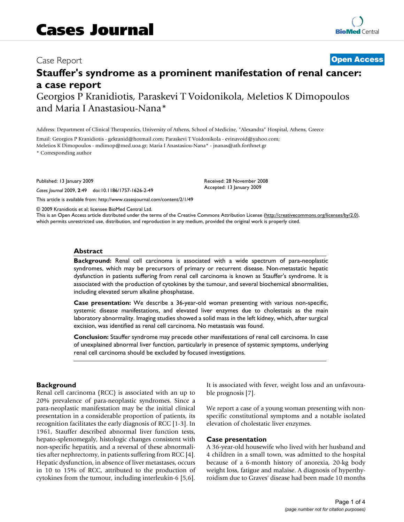# Case Report **[Open Access](http://www.biomedcentral.com/info/about/charter/) Stauffer's syndrome as a prominent manifestation of renal cancer: a case report**

Georgios P Kranidiotis, Paraskevi T Voidonikola, Meletios K Dimopoulos and Maria I Anastasiou-Nana\*

Address: Department of Clinical Therapeutics, University of Athens, School of Medicine, "Alexandra" Hospital, Athens, Greece

Email: Georgios P Kranidiotis - gekranid@hotmail.com; Paraskevi T Voidonikola - evinavoid@yahoo.com; Meletios K Dimopoulos - mdimop@med.uoa.gr; Maria I Anastasiou-Nana\* - jnanas@ath.forthnet.gr

\* Corresponding author

Published: 13 January 2009

*Cases Journal* 2009, **2**:49 doi:10.1186/1757-1626-2-49

[This article is available from: http://www.casesjournal.com/content/2/1/49](http://www.casesjournal.com/content/2/1/49)

© 2009 Kranidiotis et al; licensee BioMed Central Ltd.

This is an Open Access article distributed under the terms of the Creative Commons Attribution License [\(http://creativecommons.org/licenses/by/2.0\)](http://creativecommons.org/licenses/by/2.0), which permits unrestricted use, distribution, and reproduction in any medium, provided the original work is properly cited.

Received: 28 November 2008 Accepted: 13 January 2009

#### **Abstract**

**Background:** Renal cell carcinoma is associated with a wide spectrum of para-neoplastic syndromes, which may be precursors of primary or recurrent disease. Non-metastatic hepatic dysfunction in patients suffering from renal cell carcinoma is known as Stauffer's syndrome. It is associated with the production of cytokines by the tumour, and several biochemical abnormalities, including elevated serum alkaline phosphatase.

**Case presentation:** We describe a 36-year-old woman presenting with various non-specific, systemic disease manifestations, and elevated liver enzymes due to cholestasis as the main laboratory abnormality. Imaging studies showed a solid mass in the left kidney, which, after surgical excision, was identified as renal cell carcinoma. No metastasis was found.

**Conclusion:** Stauffer syndrome may precede other manifestations of renal cell carcinoma. In case of unexplained abnormal liver function, particularly in presence of systemic symptoms, underlying renal cell carcinoma should be excluded by focused investigations.

# **Background**

Renal cell carcinoma (RCC) is associated with an up to 20% prevalence of para-neoplastic syndromes. Since a para-neoplastic manifestation may be the initial clinical presentation in a considerable proportion of patients, its recognition facilitates the early diagnosis of RCC [1-3]. In 1961, Stauffer described abnormal liver function tests, hepato-splenomegaly, histologic changes consistent with non-specific hepatitis, and a reversal of these abnormalities after nephrectomy, in patients suffering from RCC [4]. Hepatic dysfunction, in absence of liver metastases, occurs in 10 to 15% of RCC, attributed to the production of cytokines from the tumour, including interleukin-6 [5,6].

It is associated with fever, weight loss and an unfavourable prognosis [7].

We report a case of a young woman presenting with nonspecific constitutional symptoms and a notable isolated elevation of cholestatic liver enzymes.

### **Case presentation**

A 36-year-old housewife who lived with her husband and 4 children in a small town, was admitted to the hospital because of a 6-month history of anorexia, 20-kg body weight loss, fatigue and malaise. A diagnosis of hyperthyroidism due to Graves' disease had been made 10 months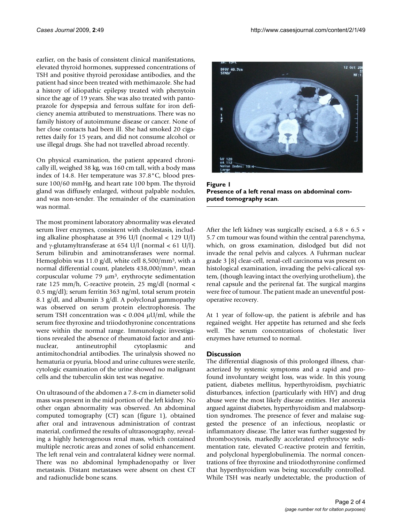earlier, on the basis of consistent clinical manifestations, elevated thyroid hormones, suppressed concentrations of TSH and positive thyroid peroxidase antibodies, and the patient had since been treated with methimazole. She had a history of idiopathic epilepsy treated with phenytoin since the age of 19 years. She was also treated with pantoprazole for dyspepsia and ferrous sulfate for iron deficiency anemia attributed to menstruations. There was no family history of autoimmune disease or cancer. None of her close contacts had been ill. She had smoked 20 cigarettes daily for 15 years, and did not consume alcohol or use illegal drugs. She had not travelled abroad recently.

On physical examination, the patient appeared chronically ill, weighed 38 kg, was 160 cm tall, with a body mass index of 14.8. Her temperature was 37.8°C, blood pressure 100/60 mmHg, and heart rate 100 bpm. The thyroid gland was diffusely enlarged, without palpable nodules, and was non-tender. The remainder of the examination was normal.

The most prominent laboratory abnormality was elevated serum liver enzymes, consistent with cholestasis, including alkaline phosphatase at 396 U/l (normal < 129 U/l) and γ-glutamyltransferase at 654 U/l (normal < 61 U/l). Serum bilirubin and aminotransferases were normal. Hemoglobin was 11.0 g/dl, white cell 8,500/mm3, with a normal differential count, platelets 438,000/mm3, mean corpuscular volume 79  $\mu$ m<sup>3</sup>, erythrocyte sedimentation rate 125 mm/h, C-reactive protein, 25 mg/dl (normal < 0.5 mg/dl); serum ferritin 363 ng/ml, total serum protein 8.1 g/dl, and albumin 3 g/dl. A polyclonal gammopathy was observed on serum protein electrophoresis. The serum TSH concentration was  $< 0.004 \mu U/ml$ , while the serum free thyroxine and triiodothyronine concentrations were within the normal range. Immunologic investigations revealed the absence of rheumatoid factor and antinuclear, antineutrophil cytoplasmic and antimitochondrial antibodies. The urinalysis showed no hematuria or pyuria, blood and urine cultures were sterile, cytologic examination of the urine showed no malignant cells and the tuberculin skin test was negative.

On ultrasound of the abdomen a 7.8-cm in diameter solid mass was present in the mid portion of the left kidney. No other organ abnormality was observed. An abdominal computed tomography (CT) scan (figure 1), obtained after oral and intravenous administration of contrast material, confirmed the results of ultrasonography, revealing a highly heterogenous renal mass, which contained multiple necrotic areas and zones of solid enhancement. The left renal vein and contralateral kidney were normal. There was no abdominal lymphadenopathy or liver metastasis. Distant metastases were absent on chest CT and radionuclide bone scans.



**Figure 1 Presence of a left renal mass on abdominal computed tomography scan**.

After the left kidney was surgically excised, a  $6.8 \times 6.5 \times$ 5.7 cm tumour was found within the central parenchyma, which, on gross examination, dislodged but did not invade the renal pelvis and calyces. A Fuhrman nuclear grade 3 [8] clear-cell, renal-cell carcinoma was present on histological examination, invading the pelvi-caliceal system, (though leaving intact the overlying urothelium), the renal capsule and the perirenal fat. The surgical margins were free of tumour. The patient made an uneventful postoperative recovery.

At 1 year of follow-up, the patient is afebrile and has regained weight. Her appetite has returned and she feels well. The serum concentrations of cholestatic liver enzymes have returned to normal.

# **Discussion**

The differential diagnosis of this prolonged illness, characterized by systemic symptoms and a rapid and profound involuntary weight loss, was wide. In this young patient, diabetes mellitus, hyperthyroidism, psychiatric disturbances, infection (particularly with HIV) and drug abuse were the most likely disease entities. Her anorexia argued against diabetes, hyperthyroidism and malabsorption syndromes. The presence of fever and malaise suggested the presence of an infectious, neoplastic or inflammatory disease. The latter was further suggested by thrombocytosis, markedly accelerated erythrocyte sedimentation rate, elevated C-reactive protein and ferritin, and polyclonal hyperglobulinemia. The normal concentrations of free thyroxine and triiodothyronine confirmed that hyperthyroidism was being successfully controlled. While TSH was nearly undetectable, the production of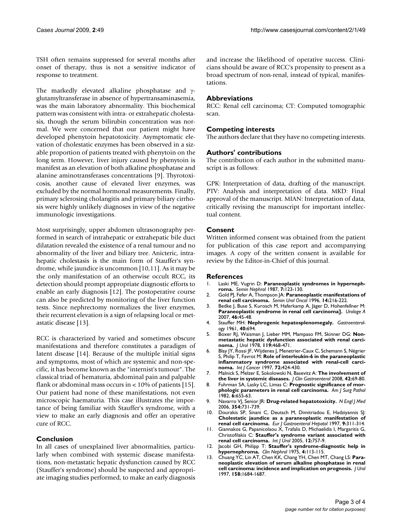TSH often remains suppressed for several months after onset of therapy, thus is not a sensitive indicator of response to treatment.

The markedly elevated alkaline phosphatase and γglutamyltransferase in absence of hypertransaminasemia, was the main laboratory abnormality. This biochemical pattern was consistent with intra- or extrahepatic cholestasis, though the serum bilirubin concentration was normal. We were concerned that our patient might have developed phenytoin hepatotoxicity. Asymptomatic elevation of cholestatic enzymes has been observed in a sizable proportion of patients treated with phenytoin on the long term. However, liver injury caused by phenytoin is manifest as an elevation of both alkaline phosphatase and alanine aminotransferases concentrations [9]. Thyrotoxicosis, another cause of elevated liver enzymes, was excluded by the normal hormonal measurements. Finally, primary sclerosing cholangitis and primary biliary cirrhosis were highly unlikely diagnoses in view of the negative immunologic investigations.

Most surprisingly, upper abdomen ultrasonography performed in search of intrahepatic or extrahepatic bile duct dilatation revealed the existence of a renal tumour and no abnormality of the liver and biliary tree. Anicteric, intrahepatic cholestasis is the main form of Stauffer's syndrome, while jaundice is uncommon [10,11]. As it may be the only manifestation of an otherwise occult RCC, its detection should prompt appropriate diagnostic efforts to enable an early diagnosis [12]. The postoperative course can also be predicted by monitoring of the liver function tests. Since nephrectomy normalizes the liver enzymes, their recurrent elevation is a sign of relapsing local or metastatic disease [13].

RCC is characterized by varied and sometimes obscure manifestations and therefore constitutes a paradigm of latent disease [14]. Because of the multiple initial signs and symptoms, most of which are systemic and non-specific, it has become known as the "internist's tumour". The classical triad of hematuria, abdominal pain and palpable flank or abdominal mass occurs in < 10% of patients [15]. Our patient had none of these manifestations, not even microscopic haematuria. This case illustrates the importance of being familiar with Stauffer's syndrome, with a view to make an early diagnosis and offer an operative cure of RCC.

# **Conclusion**

In all cases of unexplained liver abnormalities, particularly when combined with systemic disease manifestations, non-metastatic hepatic dysfunction caused by RCC (Stauffer's syndrome) should be suspected and appropriate imaging studies performed, to make an early diagnosis and increase the likelihood of operative success. Clinicians should be aware of RCC's propensity to present as a broad spectrum of non-renal, instead of typical, manifestations.

# **Abbreviations**

RCC: Renal cell carcinoma; CT: Computed tomographic scan.

# **Competing interests**

The authors declare that they have no competing interests.

# **Authors' contributions**

The contribution of each author in the submitted manuscript is as follows:

GPK: Interpretation of data, drafting of the manuscript. PTV: Analysis and interpretation of data. MKD: Final approval of the manuscript. MIAN: Interpretation of data, critically revising the manuscript for important intellectual content.

# **Consent**

Written informed consent was obtained from the patient for publication of this case report and accompanying images. A copy of the written consent is available for review by the Editor-in-Chief of this journal.

#### **References**

- 1. Laski ME, Vugrin D: **[Paraneoplastic syndromes in hyperneph](http://www.ncbi.nlm.nih.gov/entrez/query.fcgi?cmd=Retrieve&db=PubMed&dopt=Abstract&list_uids=3306861)[roma.](http://www.ncbi.nlm.nih.gov/entrez/query.fcgi?cmd=Retrieve&db=PubMed&dopt=Abstract&list_uids=3306861)** *Semin Nephrol* 1987, **7:**123-130.
- 2. Gold PJ, Fefer A, Thompson JA: **[Paraneoplastic manifestations of](http://www.ncbi.nlm.nih.gov/entrez/query.fcgi?cmd=Retrieve&db=PubMed&dopt=Abstract&list_uids=8946620) [renal cell carcinoma.](http://www.ncbi.nlm.nih.gov/entrez/query.fcgi?cmd=Retrieve&db=PubMed&dopt=Abstract&list_uids=8946620)** *Semin Urol Oncol* 1996, **14:**216-222.
- 3. Bedke J, Buse S, Kurosch M, Haferkamp A, Jäger D, Hohenfellner M: **[Paraneoplastic syndrome in renal cell carcinoma\].](http://www.ncbi.nlm.nih.gov/entrez/query.fcgi?cmd=Retrieve&db=PubMed&dopt=Abstract&list_uids=17186189)** *Urologe A* 2007, **46:**45-48.
- 4. Stauffer MH: **Nephrogenic hepatosplenomegaly.** *Gastroenterology* 1961, **40:**694.
- 5. Boxer RJ, Waisman J, Lieber MM, Mampaso FM, Skinner DG: [Non](http://www.ncbi.nlm.nih.gov/entrez/query.fcgi?cmd=Retrieve&db=PubMed&dopt=Abstract&list_uids=650745)**[metastatic hepatic dysfunction associated with renal carci](http://www.ncbi.nlm.nih.gov/entrez/query.fcgi?cmd=Retrieve&db=PubMed&dopt=Abstract&list_uids=650745)[noma.](http://www.ncbi.nlm.nih.gov/entrez/query.fcgi?cmd=Retrieve&db=PubMed&dopt=Abstract&list_uids=650745)** *J Urol* 1978, **119:**468-471.
- 6. Blay JY, Rossi JF, Wijdenes J, Menetrier-Caux C, Schemann S, Négrier S, Philip T, Favrot M: **[Role of interleukin-6 in the paraneoplastic](http://www.ncbi.nlm.nih.gov/entrez/query.fcgi?cmd=Retrieve&db=PubMed&dopt=Abstract&list_uids=9247285) [inflammatory syndrome associated with renal-cell carci](http://www.ncbi.nlm.nih.gov/entrez/query.fcgi?cmd=Retrieve&db=PubMed&dopt=Abstract&list_uids=9247285)[noma.](http://www.ncbi.nlm.nih.gov/entrez/query.fcgi?cmd=Retrieve&db=PubMed&dopt=Abstract&list_uids=9247285)** *Int J Cancer* 1997, **72:**424-430.
- 7. Malnick S, Melzer E, Sokolowski N, Basevitz A: **[The involvement of](http://www.ncbi.nlm.nih.gov/entrez/query.fcgi?cmd=Retrieve&db=PubMed&dopt=Abstract&list_uids=18097294) [the liver in systemic diseases.](http://www.ncbi.nlm.nih.gov/entrez/query.fcgi?cmd=Retrieve&db=PubMed&dopt=Abstract&list_uids=18097294)** *J Clin Gastroenterol* 2008, **42:**69-80.
- 8. Fuhrman SA, Lasky LC, Limas C: **[Prognostic significance of mor](http://www.ncbi.nlm.nih.gov/entrez/query.fcgi?cmd=Retrieve&db=PubMed&dopt=Abstract&list_uids=7180965)[phologic parameters in renal cell carcinoma.](http://www.ncbi.nlm.nih.gov/entrez/query.fcgi?cmd=Retrieve&db=PubMed&dopt=Abstract&list_uids=7180965)** *Am J Surg Pathol* 1982, **6:**655-63.
- 9. Navarro VJ, Senior JR: **[Drug-related hepatotoxicity.](http://www.ncbi.nlm.nih.gov/entrez/query.fcgi?cmd=Retrieve&db=PubMed&dopt=Abstract&list_uids=16481640)** *N Engl J Med* 2006, **354:**731-739.
- 10. Dourakis SP, Sinani C, Deutsch M, Dimitriadou E, Hadziyannis SJ: **[Cholestatic jaundice as a paraneoplastic manifestation of](http://www.ncbi.nlm.nih.gov/entrez/query.fcgi?cmd=Retrieve&db=PubMed&dopt=Abstract&list_uids=9096437) [renal cell carcinoma.](http://www.ncbi.nlm.nih.gov/entrez/query.fcgi?cmd=Retrieve&db=PubMed&dopt=Abstract&list_uids=9096437)** *Eur J Gastroenterol Hepatol* 1997, **9:**311-314.
- 11. Giannakos G, Papanicolaou X, Trafalis D, Michaelidis I, Margaritis G, Christofilakis C: **[Stauffer's syndrome variant associated with](http://www.ncbi.nlm.nih.gov/entrez/query.fcgi?cmd=Retrieve&db=PubMed&dopt=Abstract&list_uids=16174051) [renal cell carcinoma.](http://www.ncbi.nlm.nih.gov/entrez/query.fcgi?cmd=Retrieve&db=PubMed&dopt=Abstract&list_uids=16174051)** *Int J Urol* 2005, **12:**757-9.
- 12. Jacobi GH, Philipp T: **[Stauffer's syndrome-diagnostic help in](http://www.ncbi.nlm.nih.gov/entrez/query.fcgi?cmd=Retrieve&db=PubMed&dopt=Abstract&list_uids=1183098) [hypernephroma.](http://www.ncbi.nlm.nih.gov/entrez/query.fcgi?cmd=Retrieve&db=PubMed&dopt=Abstract&list_uids=1183098)** *Clin Nephrol* 1975, **4:**113-115.
- 13. Chuang YC, Lin AT, Chen KK, Chang YH, Chen MT, Chang LS: **[Para](http://www.ncbi.nlm.nih.gov/entrez/query.fcgi?cmd=Retrieve&db=PubMed&dopt=Abstract&list_uids=9334578)[neoplastic elevation of serum alkaline phosphatase in renal](http://www.ncbi.nlm.nih.gov/entrez/query.fcgi?cmd=Retrieve&db=PubMed&dopt=Abstract&list_uids=9334578) [cell carcinoma: incidence and implication on prognosis.](http://www.ncbi.nlm.nih.gov/entrez/query.fcgi?cmd=Retrieve&db=PubMed&dopt=Abstract&list_uids=9334578)** *J Urol* 1997, **158:**1684-1687.